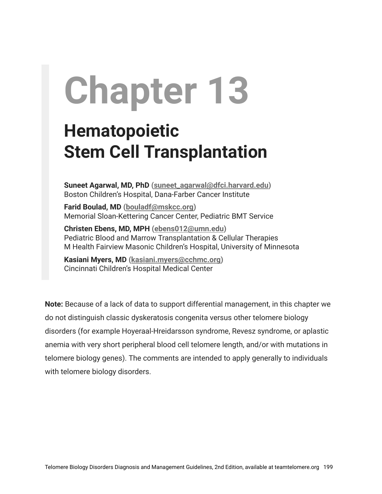# **Chapter 13**

## **Hematopoietic Stem Cell Transplantation**

**Suneet Agarwal, MD, PhD ([suneet\\_agarwal@dfci.harvard.edu](mailto:suneet_agarwal@dfci.harvard.edu))** Boston Children's Hospital, Dana-Farber Cancer Institute

**Farid Boulad, MD ([bouladf@mskcc.org](mailto:bouladf@mskcc.org))** Memorial Sloan-Kettering Cancer Center, Pediatric BMT Service

**Christen Ebens, MD, MPH ([ebens012@umn.edu](mailto:ebens012@umn.edu))** Pediatric Blood and Marrow Transplantation & Cellular Therapies M Health Fairview Masonic Children's Hospital, University of Minnesota

**Kasiani Myers, MD ([kasiani.myers@cchmc.org\)](mailto:kasiani.myers@cchmc.org)** Cincinnati Children's Hospital Medical Center

**Note:** Because of a lack of data to support differential management, in this chapter we do not distinguish classic dyskeratosis congenita versus other telomere biology disorders (for example Hoyeraal-Hreidarsson syndrome, Revesz syndrome, or aplastic anemia with very short peripheral blood cell telomere length, and/or with mutations in telomere biology genes). The comments are intended to apply generally to individuals with telomere biology disorders.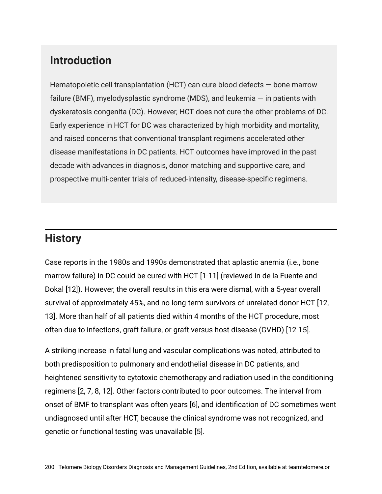## **Introduction**

Hematopoietic cell transplantation (HCT) can cure blood defects — bone marrow failure (BMF), myelodysplastic syndrome (MDS), and leukemia — in patients with dyskeratosis congenita (DC). However, HCT does not cure the other problems of DC. Early experience in HCT for DC was characterized by high morbidity and mortality, and raised concerns that conventional transplant regimens accelerated other disease manifestations in DC patients. HCT outcomes have improved in the past decade with advances in diagnosis, donor matching and supportive care, and prospective multi-center trials of reduced-intensity, disease-specific regimens.

## **History**

Case reports in the 1980s and 1990s demonstrated that aplastic anemia (i.e., bone marrow failure) in DC could be cured with HCT [1-11] (reviewed in de la Fuente and Dokal [12]). However, the overall results in this era were dismal, with a 5-year overall survival of approximately 45%, and no long-term survivors of unrelated donor HCT [12, 13]. More than half of all patients died within 4 months of the HCT procedure, most often due to infections, graft failure, or graft versus host disease (GVHD) [12-15].

A striking increase in fatal lung and vascular complications was noted, attributed to both predisposition to pulmonary and endothelial disease in DC patients, and heightened sensitivity to cytotoxic chemotherapy and radiation used in the conditioning regimens [2, 7, 8, 12]. Other factors contributed to poor outcomes. The interval from onset of BMF to transplant was often years [6], and identification of DC sometimes went undiagnosed until after HCT, because the clinical syndrome was not recognized, and genetic or functional testing was unavailable [5].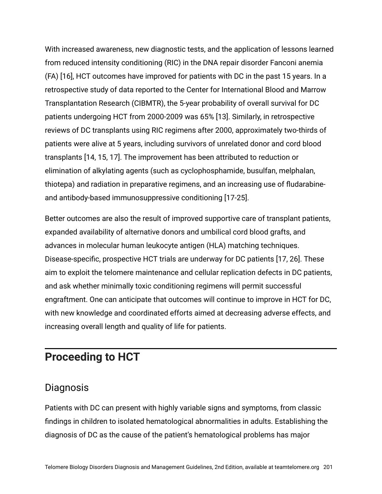With increased awareness, new diagnostic tests, and the application of lessons learned from reduced intensity conditioning (RIC) in the DNA repair disorder Fanconi anemia (FA) [16], HCT outcomes have improved for patients with DC in the past 15 years. In a retrospective study of data reported to the Center for International Blood and Marrow Transplantation Research (CIBMTR), the 5-year probability of overall survival for DC patients undergoing HCT from 2000-2009 was 65% [13]. Similarly, in retrospective reviews of DC transplants using RIC regimens after 2000, approximately two-thirds of patients were alive at 5 years, including survivors of unrelated donor and cord blood transplants [14, 15, 17]. The improvement has been attributed to reduction or elimination of alkylating agents (such as cyclophosphamide, busulfan, melphalan, thiotepa) and radiation in preparative regimens, and an increasing use of fludarabineand antibody-based immunosuppressive conditioning [17-25].

Better outcomes are also the result of improved supportive care of transplant patients, expanded availability of alternative donors and umbilical cord blood grafts, and advances in molecular human leukocyte antigen (HLA) matching techniques. Disease-specific, prospective HCT trials are underway for DC patients [17, 26]. These aim to exploit the telomere maintenance and cellular replication defects in DC patients, and ask whether minimally toxic conditioning regimens will permit successful engraftment. One can anticipate that outcomes will continue to improve in HCT for DC, with new knowledge and coordinated efforts aimed at decreasing adverse effects, and increasing overall length and quality of life for patients.

## **Proceeding to HCT**

#### **Diagnosis**

Patients with DC can present with highly variable signs and symptoms, from classic findings in children to isolated hematological abnormalities in adults. Establishing the diagnosis of DC as the cause of the patient's hematological problems has major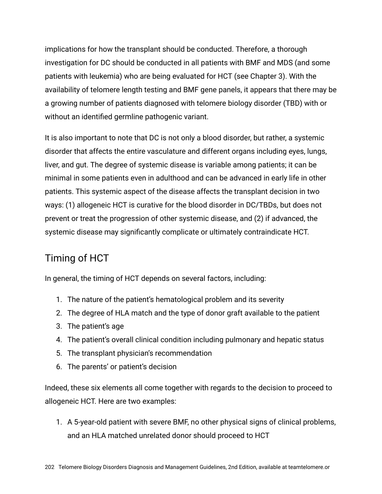implications for how the transplant should be conducted. Therefore, a thorough investigation for DC should be conducted in all patients with BMF and MDS (and some patients with leukemia) who are being evaluated for HCT (see Chapter 3). With the availability of telomere length testing and BMF gene panels, it appears that there may be a growing number of patients diagnosed with telomere biology disorder (TBD) with or without an identified germline pathogenic variant.

It is also important to note that DC is not only a blood disorder, but rather, a systemic disorder that affects the entire vasculature and different organs including eyes, lungs, liver, and gut. The degree of systemic disease is variable among patients; it can be minimal in some patients even in adulthood and can be advanced in early life in other patients. This systemic aspect of the disease affects the transplant decision in two ways: (1) allogeneic HCT is curative for the blood disorder in DC/TBDs, but does not prevent or treat the progression of other systemic disease, and (2) if advanced, the systemic disease may significantly complicate or ultimately contraindicate HCT.

## Timing of HCT

In general, the timing of HCT depends on several factors, including:

- 1. The nature of the patient's hematological problem and its severity
- 2. The degree of HLA match and the type of donor graft available to the patient
- 3. The patient's age
- 4. The patient's overall clinical condition including pulmonary and hepatic status
- 5. The transplant physician's recommendation
- 6. The parents' or patient's decision

Indeed, these six elements all come together with regards to the decision to proceed to allogeneic HCT. Here are two examples:

1. A 5-year-old patient with severe BMF, no other physical signs of clinical problems, and an HLA matched unrelated donor should proceed to HCT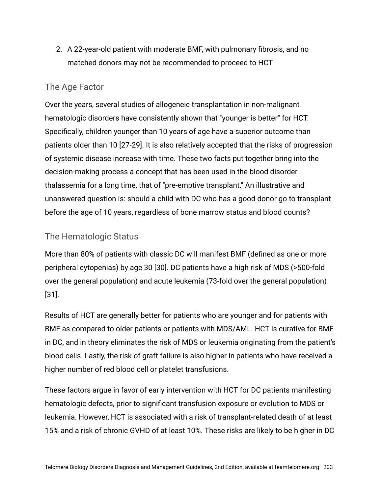2. A 22-year-old patient with moderate BMF, with pulmonary fibrosis, and no matched donors may not be recommended to proceed to HCT

#### The Age Factor

Over the years, several studies of allogeneic transplantation in non-malignant hematologic disorders have consistently shown that "younger is better" for HCT. Specifically, children younger than 10 years of age have a superior outcome than patients older than 10 [27-29]. It is also relatively accepted that the risks of progression of systemic disease increase with time. These two facts put together bring into the decision-making process a concept that has been used in the blood disorder thalassemia for a long time, that of "pre-emptive transplant." An illustrative and unanswered question is: should a child with DC who has a good donor go to transplant before the age of 10 years, regardless of bone marrow status and blood counts?

#### The Hematologic Status

More than 80% of patients with classic DC will manifest BMF (defined as one or more peripheral cytopenias) by age 30 [30]. DC patients have a high risk of MDS (>500-fold over the general population) and acute leukemia (73-fold over the general population) [31].

Results of HCT are generally better for patients who are younger and for patients with BMF as compared to older patients or patients with MDS/AML. HCT is curative for BMF in DC, and in theory eliminates the risk of MDS or leukemia originating from the patient's blood cells. Lastly, the risk of graft failure is also higher in patients who have received a higher number of red blood cell or platelet transfusions.

These factors argue in favor of early intervention with HCT for DC patients manifesting hematologic defects, prior to significant transfusion exposure or evolution to MDS or leukemia. However, HCT is associated with a risk of transplant-related death of at least 15% and a risk of chronic GVHD of at least 10%. These risks are likely to be higher in DC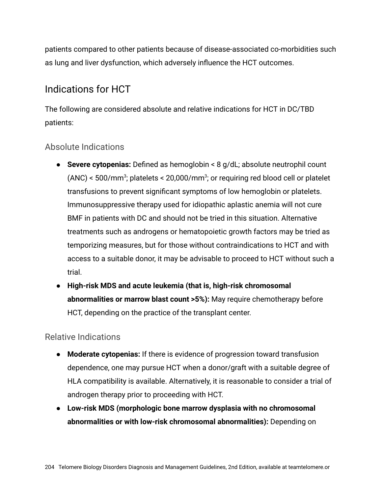patients compared to other patients because of disease-associated co-morbidities such as lung and liver dysfunction, which adversely influence the HCT outcomes.

## Indications for HCT

The following are considered absolute and relative indications for HCT in DC/TBD patients:

#### Absolute Indications

- **Severe cytopenias:** Defined as hemoglobin < 8 g/dL; absolute neutrophil count  $(ANC)$  < 500/mm<sup>3</sup>; platelets < 20,000/mm<sup>3</sup>; or requiring red blood cell or platelet transfusions to prevent significant symptoms of low hemoglobin or platelets. Immunosuppressive therapy used for idiopathic aplastic anemia will not cure BMF in patients with DC and should not be tried in this situation. Alternative treatments such as androgens or hematopoietic growth factors may be tried as temporizing measures, but for those without contraindications to HCT and with access to a suitable donor, it may be advisable to proceed to HCT without such a trial.
- **High-risk MDS and acute leukemia (that is, high-risk chromosomal abnormalities or marrow blast count >5%):** May require chemotherapy before HCT, depending on the practice of the transplant center.

Relative Indications

- **Moderate cytopenias:** If there is evidence of progression toward transfusion dependence, one may pursue HCT when a donor/graft with a suitable degree of HLA compatibility is available. Alternatively, it is reasonable to consider a trial of androgen therapy prior to proceeding with HCT.
- **Low-risk MDS (morphologic bone marrow dysplasia with no chromosomal abnormalities or with low-risk chromosomal abnormalities):** Depending on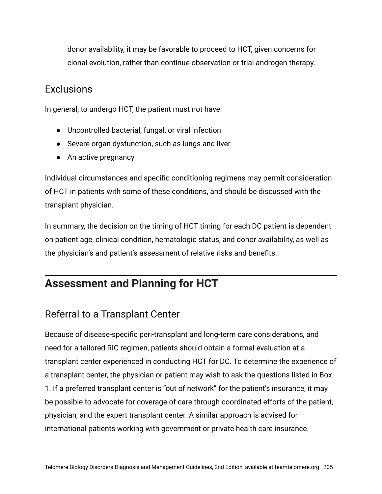donor availability, it may be favorable to proceed to HCT, given concerns for clonal evolution, rather than continue observation or trial androgen therapy.

#### **Exclusions**

In general, to undergo HCT, the patient must not have:

- Uncontrolled bacterial, fungal, or viral infection
- Severe organ dysfunction, such as lungs and liver
- An active pregnancy

Individual circumstances and specific conditioning regimens may permit consideration of HCT in patients with some of these conditions, and should be discussed with the transplant physician.

In summary, the decision on the timing of HCT timing for each DC patient is dependent on patient age, clinical condition, hematologic status, and donor availability, as well as the physician's and patient's assessment of relative risks and benefits.

## **Assessment and Planning for HCT**

## Referral to a Transplant Center

Because of disease-specific peri-transplant and long-term care considerations, and need for a tailored RIC regimen, patients should obtain a formal evaluation at a transplant center experienced in conducting HCT for DC. To determine the experience of a transplant center, the physician or patient may wish to ask the questions listed in Box 1. If a preferred transplant center is "out of network" for the patient's insurance, it may be possible to advocate for coverage of care through coordinated efforts of the patient, physician, and the expert transplant center. A similar approach is advised for international patients working with government or private health care insurance.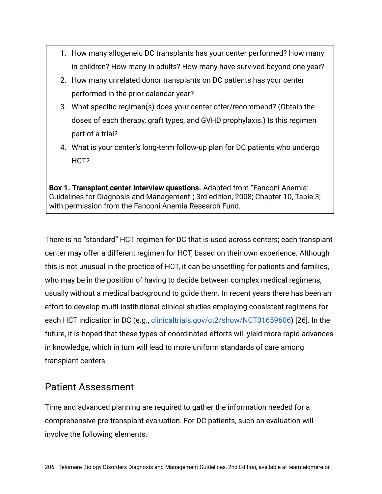- 1. How many allogeneic DC transplants has your center performed? How many in children? How many in adults? How many have survived beyond one year?
- 2. How many unrelated donor transplants on DC patients has your center performed in the prior calendar year?
- 3. What specific regimen(s) does your center offer/recommend? (Obtain the doses of each therapy, graft types, and GVHD prophylaxis.) Is this regimen part of a trial?
- 4. What is your center's long-term follow-up plan for DC patients who undergo HCT?

**Box 1. Transplant center interview questions.** Adapted from "Fanconi Anemia: Guidelines for Diagnosis and Management"; 3rd edition, 2008; Chapter 10, Table 3; with permission from the Fanconi Anemia Research Fund.

There is no "standard" HCT regimen for DC that is used across centers; each transplant center may offer a different regimen for HCT, based on their own experience. Although this is not unusual in the practice of HCT, it can be unsettling for patients and families, who may be in the position of having to decide between complex medical regimens, usually without a medical background to guide them. In recent years there has been an effort to develop multi-institutional clinical studies employing consistent regimens for each HCT indication in DC (e.g., [clinicaltrials.gov/ct2/show/NCT01659606](https://www.clinicaltrials.gov/ct2/show/NCT01659606)) [26]. In the future, it is hoped that these types of coordinated efforts will yield more rapid advances in knowledge, which in turn will lead to more uniform standards of care among transplant centers.

#### Patient Assessment

Time and advanced planning are required to gather the information needed for a comprehensive pre-transplant evaluation. For DC patients, such an evaluation will involve the following elements: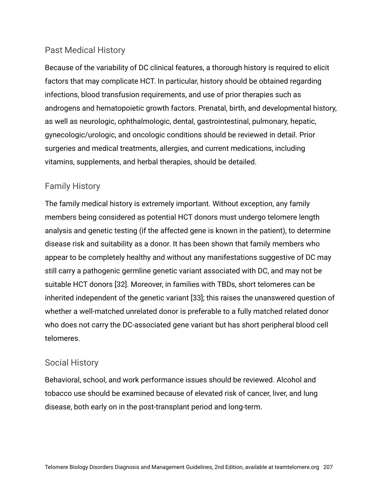#### Past Medical History

Because of the variability of DC clinical features, a thorough history is required to elicit factors that may complicate HCT. In particular, history should be obtained regarding infections, blood transfusion requirements, and use of prior therapies such as androgens and hematopoietic growth factors. Prenatal, birth, and developmental history, as well as neurologic, ophthalmologic, dental, gastrointestinal, pulmonary, hepatic, gynecologic/urologic, and oncologic conditions should be reviewed in detail. Prior surgeries and medical treatments, allergies, and current medications, including vitamins, supplements, and herbal therapies, should be detailed.

#### Family History

The family medical history is extremely important. Without exception, any family members being considered as potential HCT donors must undergo telomere length analysis and genetic testing (if the affected gene is known in the patient), to determine disease risk and suitability as a donor. It has been shown that family members who appear to be completely healthy and without any manifestations suggestive of DC may still carry a pathogenic germline genetic variant associated with DC, and may not be suitable HCT donors [32]. Moreover, in families with TBDs, short telomeres can be inherited independent of the genetic variant [33]; this raises the unanswered question of whether a well-matched unrelated donor is preferable to a fully matched related donor who does not carry the DC-associated gene variant but has short peripheral blood cell telomeres.

#### Social History

Behavioral, school, and work performance issues should be reviewed. Alcohol and tobacco use should be examined because of elevated risk of cancer, liver, and lung disease, both early on in the post-transplant period and long-term.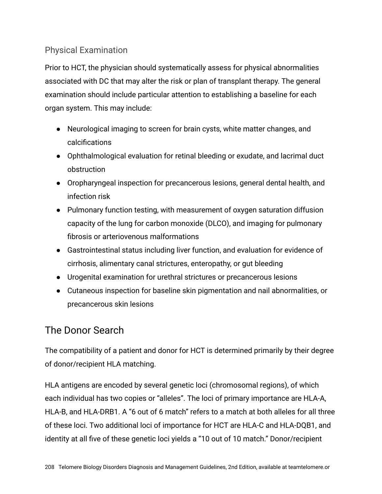#### Physical Examination

Prior to HCT, the physician should systematically assess for physical abnormalities associated with DC that may alter the risk or plan of transplant therapy. The general examination should include particular attention to establishing a baseline for each organ system. This may include:

- Neurological imaging to screen for brain cysts, white matter changes, and calcifications
- Ophthalmological evaluation for retinal bleeding or exudate, and lacrimal duct obstruction
- Oropharyngeal inspection for precancerous lesions, general dental health, and infection risk
- Pulmonary function testing, with measurement of oxygen saturation diffusion capacity of the lung for carbon monoxide (DLCO), and imaging for pulmonary fibrosis or arteriovenous malformations
- Gastrointestinal status including liver function, and evaluation for evidence of cirrhosis, alimentary canal strictures, enteropathy, or gut bleeding
- Urogenital examination for urethral strictures or precancerous lesions
- Cutaneous inspection for baseline skin pigmentation and nail abnormalities, or precancerous skin lesions

### The Donor Search

The compatibility of a patient and donor for HCT is determined primarily by their degree of donor/recipient HLA matching.

HLA antigens are encoded by several genetic loci (chromosomal regions), of which each individual has two copies or "alleles". The loci of primary importance are HLA-A, HLA-B, and HLA-DRB1. A "6 out of 6 match" refers to a match at both alleles for all three of these loci. Two additional loci of importance for HCT are HLA-C and HLA-DQB1, and identity at all five of these genetic loci yields a "10 out of 10 match." Donor/recipient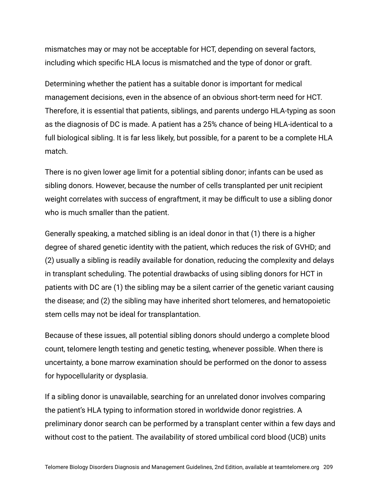mismatches may or may not be acceptable for HCT, depending on several factors, including which specific HLA locus is mismatched and the type of donor or graft.

Determining whether the patient has a suitable donor is important for medical management decisions, even in the absence of an obvious short-term need for HCT. Therefore, it is essential that patients, siblings, and parents undergo HLA-typing as soon as the diagnosis of DC is made. A patient has a 25% chance of being HLA-identical to a full biological sibling. It is far less likely, but possible, for a parent to be a complete HLA match.

There is no given lower age limit for a potential sibling donor; infants can be used as sibling donors. However, because the number of cells transplanted per unit recipient weight correlates with success of engraftment, it may be difficult to use a sibling donor who is much smaller than the patient.

Generally speaking, a matched sibling is an ideal donor in that (1) there is a higher degree of shared genetic identity with the patient, which reduces the risk of GVHD; and (2) usually a sibling is readily available for donation, reducing the complexity and delays in transplant scheduling. The potential drawbacks of using sibling donors for HCT in patients with DC are (1) the sibling may be a silent carrier of the genetic variant causing the disease; and (2) the sibling may have inherited short telomeres, and hematopoietic stem cells may not be ideal for transplantation.

Because of these issues, all potential sibling donors should undergo a complete blood count, telomere length testing and genetic testing, whenever possible. When there is uncertainty, a bone marrow examination should be performed on the donor to assess for hypocellularity or dysplasia.

If a sibling donor is unavailable, searching for an unrelated donor involves comparing the patient's HLA typing to information stored in worldwide donor registries. A preliminary donor search can be performed by a transplant center within a few days and without cost to the patient. The availability of stored umbilical cord blood (UCB) units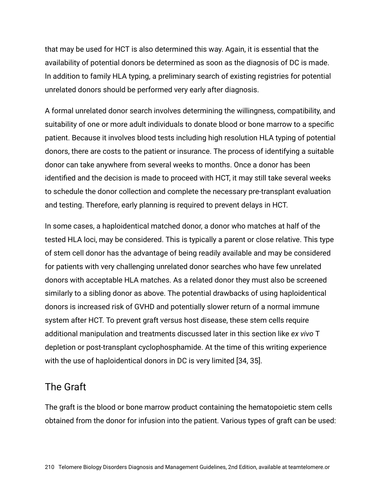that may be used for HCT is also determined this way. Again, it is essential that the availability of potential donors be determined as soon as the diagnosis of DC is made. In addition to family HLA typing, a preliminary search of existing registries for potential unrelated donors should be performed very early after diagnosis.

A formal unrelated donor search involves determining the willingness, compatibility, and suitability of one or more adult individuals to donate blood or bone marrow to a specific patient. Because it involves blood tests including high resolution HLA typing of potential donors, there are costs to the patient or insurance. The process of identifying a suitable donor can take anywhere from several weeks to months. Once a donor has been identified and the decision is made to proceed with HCT, it may still take several weeks to schedule the donor collection and complete the necessary pre-transplant evaluation and testing. Therefore, early planning is required to prevent delays in HCT.

In some cases, a haploidentical matched donor, a donor who matches at half of the tested HLA loci, may be considered. This is typically a parent or close relative. This type of stem cell donor has the advantage of being readily available and may be considered for patients with very challenging unrelated donor searches who have few unrelated donors with acceptable HLA matches. As a related donor they must also be screened similarly to a sibling donor as above. The potential drawbacks of using haploidentical donors is increased risk of GVHD and potentially slower return of a normal immune system after HCT. To prevent graft versus host disease, these stem cells require additional manipulation and treatments discussed later in this section like *ex vivo* T depletion or post-transplant cyclophosphamide. At the time of this writing experience with the use of haploidentical donors in DC is very limited [34, 35].

#### The Graft

The graft is the blood or bone marrow product containing the hematopoietic stem cells obtained from the donor for infusion into the patient. Various types of graft can be used: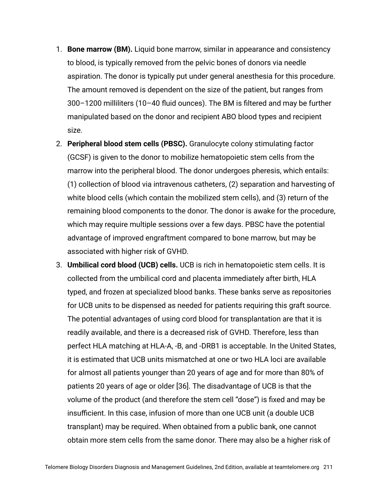- 1. **Bone marrow (BM).** Liquid bone marrow, similar in appearance and consistency to blood, is typically removed from the pelvic bones of donors via needle aspiration. The donor is typically put under general anesthesia for this procedure. The amount removed is dependent on the size of the patient, but ranges from 300–1200 milliliters (10–40 fluid ounces). The BM is filtered and may be further manipulated based on the donor and recipient ABO blood types and recipient size.
- 2. **Peripheral blood stem cells (PBSC).** Granulocyte colony stimulating factor (GCSF) is given to the donor to mobilize hematopoietic stem cells from the marrow into the peripheral blood. The donor undergoes pheresis, which entails: (1) collection of blood via intravenous catheters, (2) separation and harvesting of white blood cells (which contain the mobilized stem cells), and (3) return of the remaining blood components to the donor. The donor is awake for the procedure, which may require multiple sessions over a few days. PBSC have the potential advantage of improved engraftment compared to bone marrow, but may be associated with higher risk of GVHD.
- 3. **Umbilical cord blood (UCB) cells.** UCB is rich in hematopoietic stem cells. It is collected from the umbilical cord and placenta immediately after birth, HLA typed, and frozen at specialized blood banks. These banks serve as repositories for UCB units to be dispensed as needed for patients requiring this graft source. The potential advantages of using cord blood for transplantation are that it is readily available, and there is a decreased risk of GVHD. Therefore, less than perfect HLA matching at HLA-A, -B, and -DRB1 is acceptable. In the United States, it is estimated that UCB units mismatched at one or two HLA loci are available for almost all patients younger than 20 years of age and for more than 80% of patients 20 years of age or older [36]. The disadvantage of UCB is that the volume of the product (and therefore the stem cell "dose") is fixed and may be insufficient. In this case, infusion of more than one UCB unit (a double UCB transplant) may be required. When obtained from a public bank, one cannot obtain more stem cells from the same donor. There may also be a higher risk of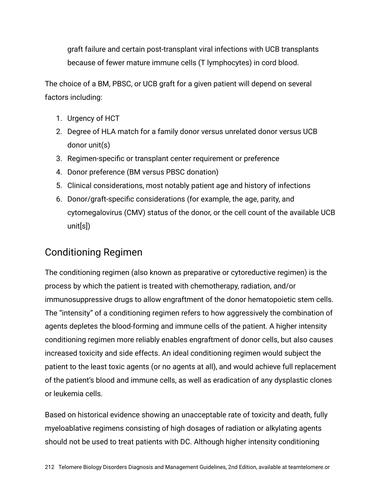graft failure and certain post-transplant viral infections with UCB transplants because of fewer mature immune cells (T lymphocytes) in cord blood.

The choice of a BM, PBSC, or UCB graft for a given patient will depend on several factors including:

- 1. Urgency of HCT
- 2. Degree of HLA match for a family donor versus unrelated donor versus UCB donor unit(s)
- 3. Regimen-specific or transplant center requirement or preference
- 4. Donor preference (BM versus PBSC donation)
- 5. Clinical considerations, most notably patient age and history of infections
- 6. Donor/graft-specific considerations (for example, the age, parity, and cytomegalovirus (CMV) status of the donor, or the cell count of the available UCB unit[s])

## Conditioning Regimen

The conditioning regimen (also known as preparative or cytoreductive regimen) is the process by which the patient is treated with chemotherapy, radiation, and/or immunosuppressive drugs to allow engraftment of the donor hematopoietic stem cells. The "intensity" of a conditioning regimen refers to how aggressively the combination of agents depletes the blood-forming and immune cells of the patient. A higher intensity conditioning regimen more reliably enables engraftment of donor cells, but also causes increased toxicity and side effects. An ideal conditioning regimen would subject the patient to the least toxic agents (or no agents at all), and would achieve full replacement of the patient's blood and immune cells, as well as eradication of any dysplastic clones or leukemia cells.

Based on historical evidence showing an unacceptable rate of toxicity and death, fully myeloablative regimens consisting of high dosages of radiation or alkylating agents should not be used to treat patients with DC. Although higher intensity conditioning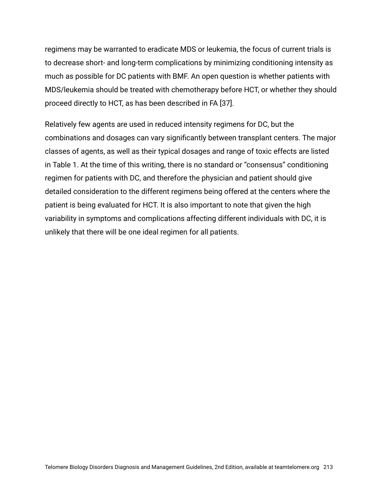regimens may be warranted to eradicate MDS or leukemia, the focus of current trials is to decrease short- and long-term complications by minimizing conditioning intensity as much as possible for DC patients with BMF. An open question is whether patients with MDS/leukemia should be treated with chemotherapy before HCT, or whether they should proceed directly to HCT, as has been described in FA [37].

Relatively few agents are used in reduced intensity regimens for DC, but the combinations and dosages can vary significantly between transplant centers. The major classes of agents, as well as their typical dosages and range of toxic effects are listed in Table 1. At the time of this writing, there is no standard or "consensus" conditioning regimen for patients with DC, and therefore the physician and patient should give detailed consideration to the different regimens being offered at the centers where the patient is being evaluated for HCT. It is also important to note that given the high variability in symptoms and complications affecting different individuals with DC, it is unlikely that there will be one ideal regimen for all patients.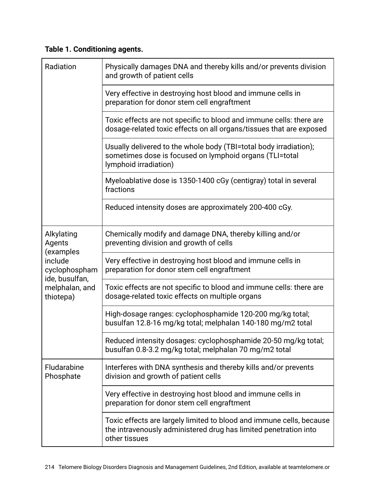#### **Table 1. Conditioning agents.**

| Radiation                                                                                                      | Physically damages DNA and thereby kills and/or prevents division<br>and growth of patient cells                                                          |  |
|----------------------------------------------------------------------------------------------------------------|-----------------------------------------------------------------------------------------------------------------------------------------------------------|--|
|                                                                                                                | Very effective in destroying host blood and immune cells in<br>preparation for donor stem cell engraftment                                                |  |
|                                                                                                                | Toxic effects are not specific to blood and immune cells: there are<br>dosage-related toxic effects on all organs/tissues that are exposed                |  |
|                                                                                                                | Usually delivered to the whole body (TBI=total body irradiation);<br>sometimes dose is focused on lymphoid organs (TLI=total<br>lymphoid irradiation)     |  |
|                                                                                                                | Myeloablative dose is 1350-1400 cGy (centigray) total in several<br>fractions                                                                             |  |
|                                                                                                                | Reduced intensity doses are approximately 200-400 cGy.                                                                                                    |  |
| Alkylating<br>Agents<br>(examples<br>include<br>cyclophospham<br>ide, busulfan,<br>melphalan, and<br>thiotepa) | Chemically modify and damage DNA, thereby killing and/or<br>preventing division and growth of cells                                                       |  |
|                                                                                                                | Very effective in destroying host blood and immune cells in<br>preparation for donor stem cell engraftment                                                |  |
|                                                                                                                | Toxic effects are not specific to blood and immune cells: there are<br>dosage-related toxic effects on multiple organs                                    |  |
|                                                                                                                | High-dosage ranges: cyclophosphamide 120-200 mg/kg total;<br>busulfan 12.8-16 mg/kg total; melphalan 140-180 mg/m2 total                                  |  |
|                                                                                                                | Reduced intensity dosages: cyclophosphamide 20-50 mg/kg total;<br>busulfan 0.8-3.2 mg/kg total; melphalan 70 mg/m2 total                                  |  |
| Fludarabine<br>Phosphate                                                                                       | Interferes with DNA synthesis and thereby kills and/or prevents<br>division and growth of patient cells                                                   |  |
|                                                                                                                | Very effective in destroying host blood and immune cells in<br>preparation for donor stem cell engraftment                                                |  |
|                                                                                                                | Toxic effects are largely limited to blood and immune cells, because<br>the intravenously administered drug has limited penetration into<br>other tissues |  |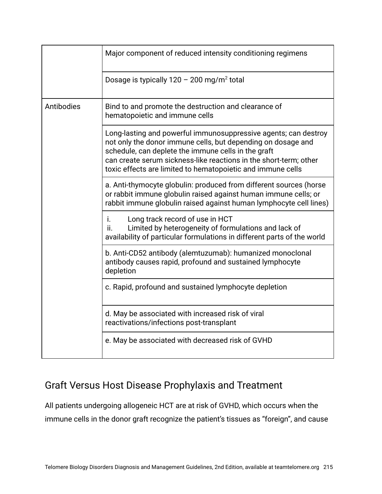|            | Major component of reduced intensity conditioning regimens                                                                                                                                                                                                                                                                 |
|------------|----------------------------------------------------------------------------------------------------------------------------------------------------------------------------------------------------------------------------------------------------------------------------------------------------------------------------|
|            | Dosage is typically $120 - 200$ mg/m <sup>2</sup> total                                                                                                                                                                                                                                                                    |
| Antibodies | Bind to and promote the destruction and clearance of<br>hematopoietic and immune cells                                                                                                                                                                                                                                     |
|            | Long-lasting and powerful immunosuppressive agents; can destroy<br>not only the donor immune cells, but depending on dosage and<br>schedule, can deplete the immune cells in the graft<br>can create serum sickness-like reactions in the short-term; other<br>toxic effects are limited to hematopoietic and immune cells |
|            | a. Anti-thymocyte globulin: produced from different sources (horse<br>or rabbit immune globulin raised against human immune cells; or<br>rabbit immune globulin raised against human lymphocyte cell lines)                                                                                                                |
|            | Long track record of use in HCT<br>İ.<br>Limited by heterogeneity of formulations and lack of<br>ii.<br>availability of particular formulations in different parts of the world                                                                                                                                            |
|            | b. Anti-CD52 antibody (alemtuzumab): humanized monoclonal<br>antibody causes rapid, profound and sustained lymphocyte<br>depletion                                                                                                                                                                                         |
|            | c. Rapid, profound and sustained lymphocyte depletion                                                                                                                                                                                                                                                                      |
|            | d. May be associated with increased risk of viral<br>reactivations/infections post-transplant                                                                                                                                                                                                                              |
|            | e. May be associated with decreased risk of GVHD                                                                                                                                                                                                                                                                           |

## Graft Versus Host Disease Prophylaxis and Treatment

All patients undergoing allogeneic HCT are at risk of GVHD, which occurs when the immune cells in the donor graft recognize the patient's tissues as "foreign", and cause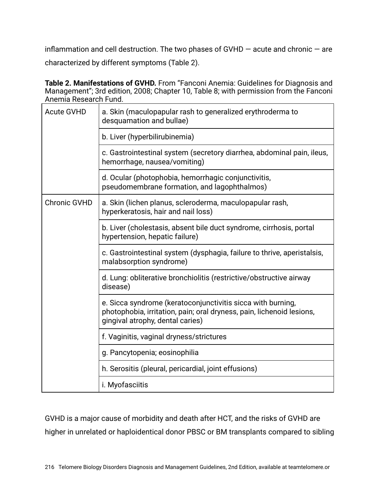inflammation and cell destruction. The two phases of GVHD  $-$  acute and chronic  $-$  are characterized by different symptoms (Table 2).

**Table 2. Manifestations of GVHD.** From "Fanconi Anemia: Guidelines for Diagnosis and Management"; 3rd edition, 2008; Chapter 10, Table 8; with permission from the Fanconi Anemia Research Fund.

| <b>Acute GVHD</b>   | a. Skin (maculopapular rash to generalized erythroderma to<br>desquamation and bullae)                                                                                   |  |
|---------------------|--------------------------------------------------------------------------------------------------------------------------------------------------------------------------|--|
|                     | b. Liver (hyperbilirubinemia)                                                                                                                                            |  |
|                     | c. Gastrointestinal system (secretory diarrhea, abdominal pain, ileus,<br>hemorrhage, nausea/vomiting)                                                                   |  |
|                     | d. Ocular (photophobia, hemorrhagic conjunctivitis,<br>pseudomembrane formation, and lagophthalmos)                                                                      |  |
| <b>Chronic GVHD</b> | a. Skin (lichen planus, scleroderma, maculopapular rash,<br>hyperkeratosis, hair and nail loss)                                                                          |  |
|                     | b. Liver (cholestasis, absent bile duct syndrome, cirrhosis, portal<br>hypertension, hepatic failure)                                                                    |  |
|                     | c. Gastrointestinal system (dysphagia, failure to thrive, aperistalsis,<br>malabsorption syndrome)                                                                       |  |
|                     | d. Lung: obliterative bronchiolitis (restrictive/obstructive airway<br>disease)                                                                                          |  |
|                     | e. Sicca syndrome (keratoconjunctivitis sicca with burning,<br>photophobia, irritation, pain; oral dryness, pain, lichenoid lesions,<br>gingival atrophy, dental caries) |  |
|                     | f. Vaginitis, vaginal dryness/strictures                                                                                                                                 |  |
|                     | g. Pancytopenia; eosinophilia                                                                                                                                            |  |
|                     | h. Serositis (pleural, pericardial, joint effusions)                                                                                                                     |  |
|                     | i. Myofasciitis                                                                                                                                                          |  |

GVHD is a major cause of morbidity and death after HCT, and the risks of GVHD are higher in unrelated or haploidentical donor PBSC or BM transplants compared to sibling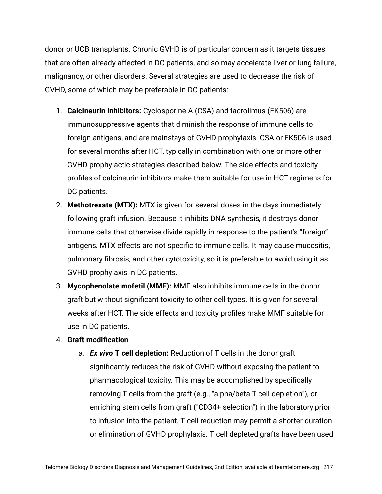donor or UCB transplants. Chronic GVHD is of particular concern as it targets tissues that are often already affected in DC patients, and so may accelerate liver or lung failure, malignancy, or other disorders. Several strategies are used to decrease the risk of GVHD, some of which may be preferable in DC patients:

- 1. **Calcineurin inhibitors:** Cyclosporine A (CSA) and tacrolimus (FK506) are immunosuppressive agents that diminish the response of immune cells to foreign antigens, and are mainstays of GVHD prophylaxis. CSA or FK506 is used for several months after HCT, typically in combination with one or more other GVHD prophylactic strategies described below. The side effects and toxicity profiles of calcineurin inhibitors make them suitable for use in HCT regimens for DC patients.
- 2. **Methotrexate (MTX):** MTX is given for several doses in the days immediately following graft infusion. Because it inhibits DNA synthesis, it destroys donor immune cells that otherwise divide rapidly in response to the patient's "foreign" antigens. MTX effects are not specific to immune cells. It may cause mucositis, pulmonary fibrosis, and other cytotoxicity, so it is preferable to avoid using it as GVHD prophylaxis in DC patients.
- 3. **Mycophenolate mofetil (MMF):** MMF also inhibits immune cells in the donor graft but without significant toxicity to other cell types. It is given for several weeks after HCT. The side effects and toxicity profiles make MMF suitable for use in DC patients.

#### 4. **Graft modification**

a. *Ex vivo* **T cell depletion:** Reduction of T cells in the donor graft significantly reduces the risk of GVHD without exposing the patient to pharmacological toxicity. This may be accomplished by specifically removing T cells from the graft (e.g., "alpha/beta T cell depletion"), or enriching stem cells from graft ("CD34+ selection") in the laboratory prior to infusion into the patient. T cell reduction may permit a shorter duration or elimination of GVHD prophylaxis. T cell depleted grafts have been used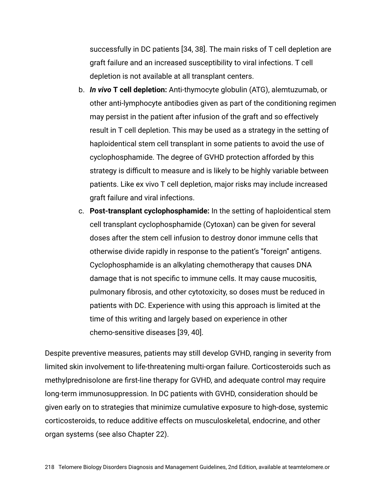successfully in DC patients [34, 38]. The main risks of T cell depletion are graft failure and an increased susceptibility to viral infections. T cell depletion is not available at all transplant centers.

- b. *In vivo* **T cell depletion:** Anti-thymocyte globulin (ATG), alemtuzumab, or other anti-lymphocyte antibodies given as part of the conditioning regimen may persist in the patient after infusion of the graft and so effectively result in T cell depletion. This may be used as a strategy in the setting of haploidentical stem cell transplant in some patients to avoid the use of cyclophosphamide. The degree of GVHD protection afforded by this strategy is difficult to measure and is likely to be highly variable between patients. Like ex vivo T cell depletion, major risks may include increased graft failure and viral infections.
- c. **Post-transplant cyclophosphamide:** In the setting of haploidentical stem cell transplant cyclophosphamide (Cytoxan) can be given for several doses after the stem cell infusion to destroy donor immune cells that otherwise divide rapidly in response to the patient's "foreign" antigens. Cyclophosphamide is an alkylating chemotherapy that causes DNA damage that is not specific to immune cells. It may cause mucositis, pulmonary fibrosis, and other cytotoxicity, so doses must be reduced in patients with DC. Experience with using this approach is limited at the time of this writing and largely based on experience in other chemo-sensitive diseases [39, 40].

Despite preventive measures, patients may still develop GVHD, ranging in severity from limited skin involvement to life-threatening multi-organ failure. Corticosteroids such as methylprednisolone are first-line therapy for GVHD, and adequate control may require long-term immunosuppression. In DC patients with GVHD, consideration should be given early on to strategies that minimize cumulative exposure to high-dose, systemic corticosteroids, to reduce additive effects on musculoskeletal, endocrine, and other organ systems (see also Chapter 22).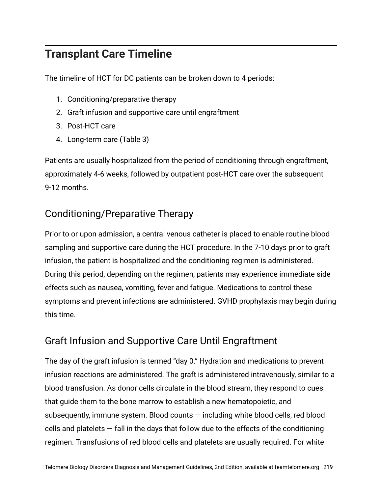## **Transplant Care Timeline**

The timeline of HCT for DC patients can be broken down to 4 periods:

- 1. Conditioning/preparative therapy
- 2. Graft infusion and supportive care until engraftment
- 3. Post-HCT care
- 4. Long-term care (Table 3)

Patients are usually hospitalized from the period of conditioning through engraftment, approximately 4-6 weeks, followed by outpatient post-HCT care over the subsequent 9-12 months.

## Conditioning/Preparative Therapy

Prior to or upon admission, a central venous catheter is placed to enable routine blood sampling and supportive care during the HCT procedure. In the 7-10 days prior to graft infusion, the patient is hospitalized and the conditioning regimen is administered. During this period, depending on the regimen, patients may experience immediate side effects such as nausea, vomiting, fever and fatigue. Medications to control these symptoms and prevent infections are administered. GVHD prophylaxis may begin during this time.

## Graft Infusion and Supportive Care Until Engraftment

The day of the graft infusion is termed "day 0." Hydration and medications to prevent infusion reactions are administered. The graft is administered intravenously, similar to a blood transfusion. As donor cells circulate in the blood stream, they respond to cues that guide them to the bone marrow to establish a new hematopoietic, and subsequently, immune system. Blood counts — including white blood cells, red blood cells and platelets  $-$  fall in the days that follow due to the effects of the conditioning regimen. Transfusions of red blood cells and platelets are usually required. For white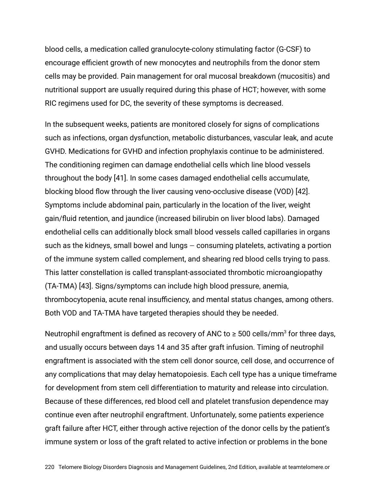blood cells, a medication called granulocyte-colony stimulating factor (G-CSF) to encourage efficient growth of new monocytes and neutrophils from the donor stem cells may be provided. Pain management for oral mucosal breakdown (mucositis) and nutritional support are usually required during this phase of HCT; however, with some RIC regimens used for DC, the severity of these symptoms is decreased.

In the subsequent weeks, patients are monitored closely for signs of complications such as infections, organ dysfunction, metabolic disturbances, vascular leak, and acute GVHD. Medications for GVHD and infection prophylaxis continue to be administered. The conditioning regimen can damage endothelial cells which line blood vessels throughout the body [41]. In some cases damaged endothelial cells accumulate, blocking blood flow through the liver causing veno-occlusive disease (VOD) [42]. Symptoms include abdominal pain, particularly in the location of the liver, weight gain/fluid retention, and jaundice (increased bilirubin on liver blood labs). Damaged endothelial cells can additionally block small blood vessels called capillaries in organs such as the kidneys, small bowel and lungs — consuming platelets, activating a portion of the immune system called complement, and shearing red blood cells trying to pass. This latter constellation is called transplant-associated thrombotic microangiopathy (TA-TMA) [43]. Signs/symptoms can include high blood pressure, anemia, thrombocytopenia, acute renal insufficiency, and mental status changes, among others. Both VOD and TA-TMA have targeted therapies should they be needed.

Neutrophil engraftment is defined as recovery of ANC to  $\geq 500$  cells/mm<sup>3</sup> for three days, and usually occurs between days 14 and 35 after graft infusion. Timing of neutrophil engraftment is associated with the stem cell donor source, cell dose, and occurrence of any complications that may delay hematopoiesis. Each cell type has a unique timeframe for development from stem cell differentiation to maturity and release into circulation. Because of these differences, red blood cell and platelet transfusion dependence may continue even after neutrophil engraftment. Unfortunately, some patients experience graft failure after HCT, either through active rejection of the donor cells by the patient's immune system or loss of the graft related to active infection or problems in the bone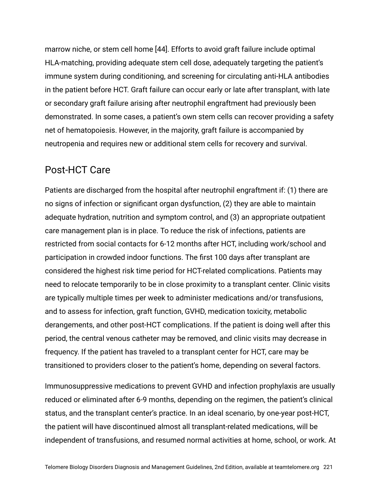marrow niche, or stem cell home [44]. Efforts to avoid graft failure include optimal HLA-matching, providing adequate stem cell dose, adequately targeting the patient's immune system during conditioning, and screening for circulating anti-HLA antibodies in the patient before HCT. Graft failure can occur early or late after transplant, with late or secondary graft failure arising after neutrophil engraftment had previously been demonstrated. In some cases, a patient's own stem cells can recover providing a safety net of hematopoiesis. However, in the majority, graft failure is accompanied by neutropenia and requires new or additional stem cells for recovery and survival.

#### Post-HCT Care

Patients are discharged from the hospital after neutrophil engraftment if: (1) there are no signs of infection or significant organ dysfunction, (2) they are able to maintain adequate hydration, nutrition and symptom control, and (3) an appropriate outpatient care management plan is in place. To reduce the risk of infections, patients are restricted from social contacts for 6-12 months after HCT, including work/school and participation in crowded indoor functions. The first 100 days after transplant are considered the highest risk time period for HCT-related complications. Patients may need to relocate temporarily to be in close proximity to a transplant center. Clinic visits are typically multiple times per week to administer medications and/or transfusions, and to assess for infection, graft function, GVHD, medication toxicity, metabolic derangements, and other post-HCT complications. If the patient is doing well after this period, the central venous catheter may be removed, and clinic visits may decrease in frequency. If the patient has traveled to a transplant center for HCT, care may be transitioned to providers closer to the patient's home, depending on several factors.

Immunosuppressive medications to prevent GVHD and infection prophylaxis are usually reduced or eliminated after 6-9 months, depending on the regimen, the patient's clinical status, and the transplant center's practice. In an ideal scenario, by one-year post-HCT, the patient will have discontinued almost all transplant-related medications, will be independent of transfusions, and resumed normal activities at home, school, or work. At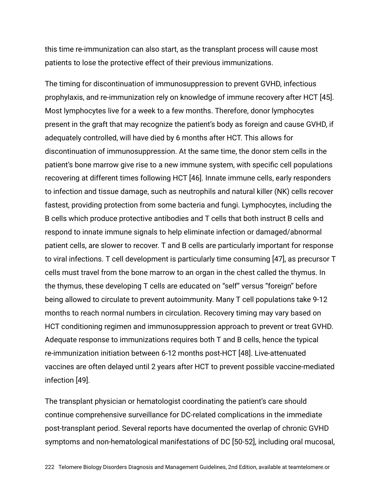this time re-immunization can also start, as the transplant process will cause most patients to lose the protective effect of their previous immunizations.

The timing for discontinuation of immunosuppression to prevent GVHD, infectious prophylaxis, and re-immunization rely on knowledge of immune recovery after HCT [45]. Most lymphocytes live for a week to a few months. Therefore, donor lymphocytes present in the graft that may recognize the patient's body as foreign and cause GVHD, if adequately controlled, will have died by 6 months after HCT. This allows for discontinuation of immunosuppression. At the same time, the donor stem cells in the patient's bone marrow give rise to a new immune system, with specific cell populations recovering at different times following HCT [46]. Innate immune cells, early responders to infection and tissue damage, such as neutrophils and natural killer (NK) cells recover fastest, providing protection from some bacteria and fungi. Lymphocytes, including the B cells which produce protective antibodies and T cells that both instruct B cells and respond to innate immune signals to help eliminate infection or damaged/abnormal patient cells, are slower to recover. T and B cells are particularly important for response to viral infections. T cell development is particularly time consuming [47], as precursor T cells must travel from the bone marrow to an organ in the chest called the thymus. In the thymus, these developing T cells are educated on "self" versus "foreign" before being allowed to circulate to prevent autoimmunity. Many T cell populations take 9-12 months to reach normal numbers in circulation. Recovery timing may vary based on HCT conditioning regimen and immunosuppression approach to prevent or treat GVHD. Adequate response to immunizations requires both T and B cells, hence the typical re-immunization initiation between 6-12 months post-HCT [48]. Live-attenuated vaccines are often delayed until 2 years after HCT to prevent possible vaccine-mediated infection [49].

The transplant physician or hematologist coordinating the patient's care should continue comprehensive surveillance for DC-related complications in the immediate post-transplant period. Several reports have documented the overlap of chronic GVHD symptoms and non-hematological manifestations of DC [50-52], including oral mucosal,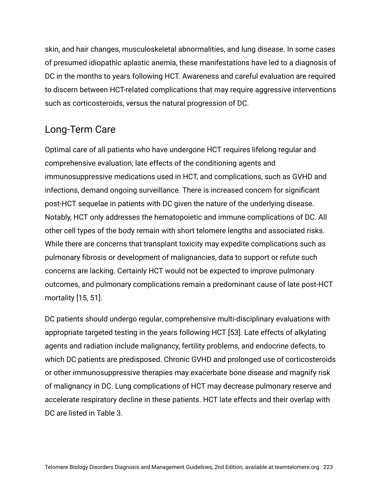skin, and hair changes, musculoskeletal abnormalities, and lung disease. In some cases of presumed idiopathic aplastic anemia, these manifestations have led to a diagnosis of DC in the months to years following HCT. Awareness and careful evaluation are required to discern between HCT-related complications that may require aggressive interventions such as corticosteroids, versus the natural progression of DC.

## Long-Term Care

Optimal care of all patients who have undergone HCT requires lifelong regular and comprehensive evaluation; late effects of the conditioning agents and immunosuppressive medications used in HCT, and complications, such as GVHD and infections, demand ongoing surveillance. There is increased concern for significant post-HCT sequelae in patients with DC given the nature of the underlying disease. Notably, HCT only addresses the hematopoietic and immune complications of DC. All other cell types of the body remain with short telomere lengths and associated risks. While there are concerns that transplant toxicity may expedite complications such as pulmonary fibrosis or development of malignancies, data to support or refute such concerns are lacking. Certainly HCT would not be expected to improve pulmonary outcomes, and pulmonary complications remain a predominant cause of late post-HCT mortality [15, 51].

DC patients should undergo regular, comprehensive multi-disciplinary evaluations with appropriate targeted testing in the years following HCT [53]. Late effects of alkylating agents and radiation include malignancy, fertility problems, and endocrine defects, to which DC patients are predisposed. Chronic GVHD and prolonged use of corticosteroids or other immunosuppressive therapies may exacerbate bone disease and magnify risk of malignancy in DC. Lung complications of HCT may decrease pulmonary reserve and accelerate respiratory decline in these patients. HCT late effects and their overlap with DC are listed in Table 3.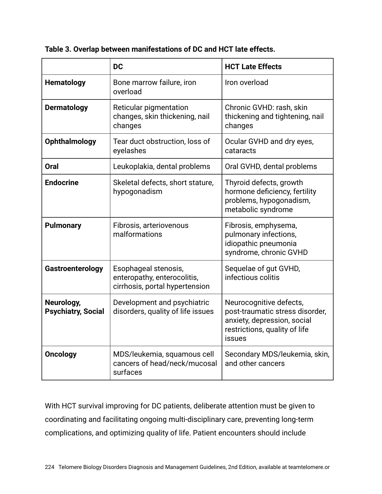**Table 3. Overlap between manifestations of DC and HCT late effects.**

|                                         | <b>DC</b>                                                                             | <b>HCT Late Effects</b>                                                                                                                     |
|-----------------------------------------|---------------------------------------------------------------------------------------|---------------------------------------------------------------------------------------------------------------------------------------------|
| <b>Hematology</b>                       | Bone marrow failure, iron<br>overload                                                 | Iron overload                                                                                                                               |
| <b>Dermatology</b>                      | Reticular pigmentation<br>changes, skin thickening, nail<br>changes                   | Chronic GVHD: rash, skin<br>thickening and tightening, nail<br>changes                                                                      |
| <b>Ophthalmology</b>                    | Tear duct obstruction, loss of<br>eyelashes                                           | Ocular GVHD and dry eyes,<br>cataracts                                                                                                      |
| Oral                                    | Leukoplakia, dental problems                                                          | Oral GVHD, dental problems                                                                                                                  |
| <b>Endocrine</b>                        | Skeletal defects, short stature,<br>hypogonadism                                      | Thyroid defects, growth<br>hormone deficiency, fertility<br>problems, hypogonadism,<br>metabolic syndrome                                   |
| <b>Pulmonary</b>                        | Fibrosis, arteriovenous<br>malformations                                              | Fibrosis, emphysema,<br>pulmonary infections,<br>idiopathic pneumonia<br>syndrome, chronic GVHD                                             |
| Gastroenterology                        | Esophageal stenosis,<br>enteropathy, enterocolitis,<br>cirrhosis, portal hypertension | Sequelae of gut GVHD,<br>infectious colitis                                                                                                 |
| Neurology,<br><b>Psychiatry, Social</b> | Development and psychiatric<br>disorders, quality of life issues                      | Neurocognitive defects,<br>post-traumatic stress disorder,<br>anxiety, depression, social<br>restrictions, quality of life<br><b>issues</b> |
| <b>Oncology</b>                         | MDS/leukemia, squamous cell<br>cancers of head/neck/mucosal<br>surfaces               | Secondary MDS/leukemia, skin,<br>and other cancers                                                                                          |

With HCT survival improving for DC patients, deliberate attention must be given to coordinating and facilitating ongoing multi-disciplinary care, preventing long-term complications, and optimizing quality of life. Patient encounters should include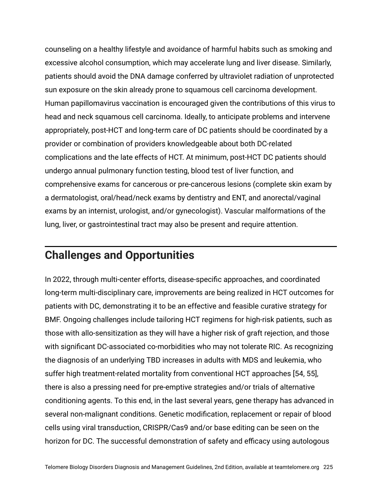counseling on a healthy lifestyle and avoidance of harmful habits such as smoking and excessive alcohol consumption, which may accelerate lung and liver disease. Similarly, patients should avoid the DNA damage conferred by ultraviolet radiation of unprotected sun exposure on the skin already prone to squamous cell carcinoma development. Human papillomavirus vaccination is encouraged given the contributions of this virus to head and neck squamous cell carcinoma. Ideally, to anticipate problems and intervene appropriately, post-HCT and long-term care of DC patients should be coordinated by a provider or combination of providers knowledgeable about both DC-related complications and the late effects of HCT. At minimum, post-HCT DC patients should undergo annual pulmonary function testing, blood test of liver function, and comprehensive exams for cancerous or pre-cancerous lesions (complete skin exam by a dermatologist, oral/head/neck exams by dentistry and ENT, and anorectal/vaginal exams by an internist, urologist, and/or gynecologist). Vascular malformations of the lung, liver, or gastrointestinal tract may also be present and require attention.

## **Challenges and Opportunities**

In 2022, through multi-center efforts, disease-specific approaches, and coordinated long-term multi-disciplinary care, improvements are being realized in HCT outcomes for patients with DC, demonstrating it to be an effective and feasible curative strategy for BMF. Ongoing challenges include tailoring HCT regimens for high-risk patients, such as those with allo-sensitization as they will have a higher risk of graft rejection, and those with significant DC-associated co-morbidities who may not tolerate RIC. As recognizing the diagnosis of an underlying TBD increases in adults with MDS and leukemia, who suffer high treatment-related mortality from conventional HCT approaches [54, 55], there is also a pressing need for pre-emptive strategies and/or trials of alternative conditioning agents. To this end, in the last several years, gene therapy has advanced in several non-malignant conditions. Genetic modification, replacement or repair of blood cells using viral transduction, CRISPR/Cas9 and/or base editing can be seen on the horizon for DC. The successful demonstration of safety and efficacy using autologous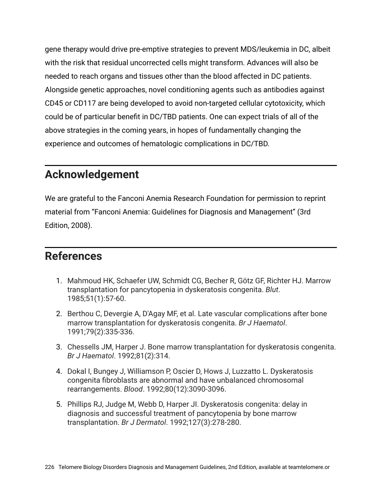gene therapy would drive pre-emptive strategies to prevent MDS/leukemia in DC, albeit with the risk that residual uncorrected cells might transform. Advances will also be needed to reach organs and tissues other than the blood affected in DC patients. Alongside genetic approaches, novel conditioning agents such as antibodies against CD45 or CD117 are being developed to avoid non-targeted cellular cytotoxicity, which could be of particular benefit in DC/TBD patients. One can expect trials of all of the above strategies in the coming years, in hopes of fundamentally changing the experience and outcomes of hematologic complications in DC/TBD.

## **Acknowledgement**

We are grateful to the Fanconi Anemia Research Foundation for permission to reprint material from "Fanconi Anemia: Guidelines for Diagnosis and Management" (3rd Edition, 2008).

## **References**

- 1. Mahmoud HK, Schaefer UW, Schmidt CG, Becher R, Götz GF, Richter HJ. Marrow transplantation for pancytopenia in dyskeratosis congenita. *Blut*. 1985;51(1):57-60.
- 2. Berthou C, Devergie A, D'Agay MF, et al. Late vascular complications after bone marrow transplantation for dyskeratosis congenita. *Br J Haematol*. 1991;79(2):335-336.
- 3. Chessells JM, Harper J. Bone marrow transplantation for dyskeratosis congenita. *Br J Haematol*. 1992;81(2):314.
- 4. Dokal I, Bungey J, Williamson P, Oscier D, Hows J, Luzzatto L. Dyskeratosis congenita fibroblasts are abnormal and have unbalanced chromosomal rearrangements. *Blood*. 1992;80(12):3090-3096.
- 5. Phillips RJ, Judge M, Webb D, Harper JI. Dyskeratosis congenita: delay in diagnosis and successful treatment of pancytopenia by bone marrow transplantation. *Br J Dermatol*. 1992;127(3):278-280.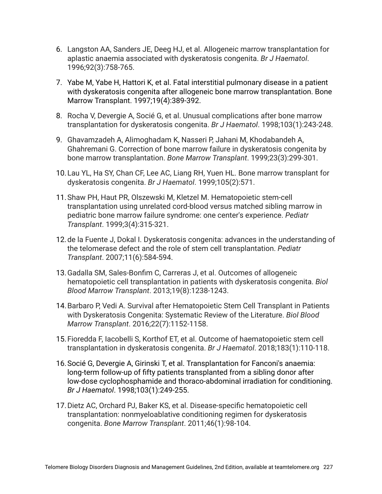- 6. Langston AA, Sanders JE, Deeg HJ, et al. Allogeneic marrow transplantation for aplastic anaemia associated with dyskeratosis congenita. *Br J Haematol*. 1996;92(3):758-765.
- 7. Yabe M, Yabe H, Hattori K, et al. Fatal interstitial pulmonary disease in a patient with dyskeratosis congenita after allogeneic bone marrow transplantation. Bone Marrow Transplant. 1997;19(4):389-392.
- 8. Rocha V, Devergie A, Socié G, et al. Unusual complications after bone marrow transplantation for dyskeratosis congenita. *Br J Haematol*. 1998;103(1):243-248.
- 9. Ghavamzadeh A, Alimoghadam K, Nasseri P, Jahani M, Khodabandeh A, Ghahremani G. Correction of bone marrow failure in dyskeratosis congenita by bone marrow transplantation. *Bone Marrow Transplant*. 1999;23(3):299-301.
- 10.Lau YL, Ha SY, Chan CF, Lee AC, Liang RH, Yuen HL. Bone marrow transplant for dyskeratosis congenita. *Br J Haematol*. 1999;105(2):571.
- 11.Shaw PH, Haut PR, Olszewski M, Kletzel M. Hematopoietic stem-cell transplantation using unrelated cord-blood versus matched sibling marrow in pediatric bone marrow failure syndrome: one center's experience. *Pediatr Transplant*. 1999;3(4):315-321.
- 12.de la Fuente J, Dokal I. Dyskeratosis congenita: advances in the understanding of the telomerase defect and the role of stem cell transplantation. *Pediatr Transplant*. 2007;11(6):584-594.
- 13.Gadalla SM, Sales-Bonfim C, Carreras J, et al. Outcomes of allogeneic hematopoietic cell transplantation in patients with dyskeratosis congenita. *Biol Blood Marrow Transplant*. 2013;19(8):1238-1243.
- 14.Barbaro P, Vedi A. Survival after Hematopoietic Stem Cell Transplant in Patients with Dyskeratosis Congenita: Systematic Review of the Literature. *Biol Blood Marrow Transplant*. 2016;22(7):1152-1158.
- 15.Fioredda F, Iacobelli S, Korthof ET, et al. Outcome of haematopoietic stem cell transplantation in dyskeratosis congenita. *Br J Haematol*. 2018;183(1):110-118.
- 16.Socié G, Devergie A, Girinski T, et al. Transplantation for Fanconi's anaemia: long-term follow-up of fifty patients transplanted from a sibling donor after low-dose cyclophosphamide and thoraco-abdominal irradiation for conditioning. *Br J Haematol*. 1998;103(1):249-255.
- 17.Dietz AC, Orchard PJ, Baker KS, et al. Disease-specific hematopoietic cell transplantation: nonmyeloablative conditioning regimen for dyskeratosis congenita. *Bone Marrow Transplant*. 2011;46(1):98-104.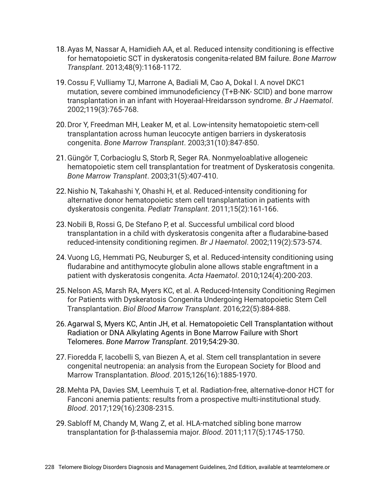- 18.Ayas M, Nassar A, Hamidieh AA, et al. Reduced intensity conditioning is effective for hematopoietic SCT in dyskeratosis congenita-related BM failure. *Bone Marrow Transplant*. 2013;48(9):1168-1172.
- 19.Cossu F, Vulliamy TJ, Marrone A, Badiali M, Cao A, Dokal I. A novel DKC1 mutation, severe combined immunodeficiency (T+B-NK- SCID) and bone marrow transplantation in an infant with Hoyeraal-Hreidarsson syndrome. *Br J Haematol*. 2002;119(3):765-768.
- 20.Dror Y, Freedman MH, Leaker M, et al. Low-intensity hematopoietic stem-cell transplantation across human leucocyte antigen barriers in dyskeratosis congenita. *Bone Marrow Transplant*. 2003;31(10):847-850.
- 21.Güngör T, Corbacioglu S, Storb R, Seger RA. Nonmyeloablative allogeneic hematopoietic stem cell transplantation for treatment of Dyskeratosis congenita. *Bone Marrow Transplant*. 2003;31(5):407-410.
- 22.Nishio N, Takahashi Y, Ohashi H, et al. Reduced-intensity conditioning for alternative donor hematopoietic stem cell transplantation in patients with dyskeratosis congenita. *Pediatr Transplant*. 2011;15(2):161-166.
- 23.Nobili B, Rossi G, De Stefano P, et al. Successful umbilical cord blood transplantation in a child with dyskeratosis congenita after a fludarabine-based reduced-intensity conditioning regimen. *Br J Haematol*. 2002;119(2):573-574.
- 24.Vuong LG, Hemmati PG, Neuburger S, et al. Reduced-intensity conditioning using fludarabine and antithymocyte globulin alone allows stable engraftment in a patient with dyskeratosis congenita. *Acta Haematol*. 2010;124(4):200-203.
- 25.Nelson AS, Marsh RA, Myers KC, et al. A Reduced-Intensity Conditioning Regimen for Patients with Dyskeratosis Congenita Undergoing Hematopoietic Stem Cell Transplantation. *Biol Blood Marrow Transplant*. 2016;22(5):884-888.
- 26.Agarwal S, Myers KC, Antin JH, et al. Hematopoietic Cell Transplantation without Radiation or DNA Alkylating Agents in Bone Marrow Failure with Short Telomeres. *Bone Marrow Transplant*. 2019;54:29-30.
- 27.Fioredda F, Iacobelli S, van Biezen A, et al. Stem cell transplantation in severe congenital neutropenia: an analysis from the European Society for Blood and Marrow Transplantation. *Blood*. 2015;126(16):1885-1970.
- 28.Mehta PA, Davies SM, Leemhuis T, et al. Radiation-free, alternative-donor HCT for Fanconi anemia patients: results from a prospective multi-institutional study. *Blood*. 2017;129(16):2308-2315.
- 29.Sabloff M, Chandy M, Wang Z, et al. HLA-matched sibling bone marrow transplantation for β-thalassemia major. *Blood*. 2011;117(5):1745-1750.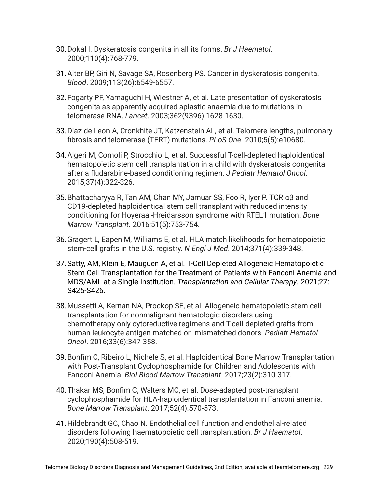- 30.Dokal I. Dyskeratosis congenita in all its forms. *Br J Haematol*. 2000;110(4):768-779.
- 31.Alter BP, Giri N, Savage SA, Rosenberg PS. Cancer in dyskeratosis congenita. *Blood*. 2009;113(26):6549-6557.
- 32.Fogarty PF, Yamaguchi H, Wiestner A, et al. Late presentation of dyskeratosis congenita as apparently acquired aplastic anaemia due to mutations in telomerase RNA. *Lancet*. 2003;362(9396):1628-1630.
- 33.Diaz de Leon A, Cronkhite JT, Katzenstein AL, et al. Telomere lengths, pulmonary fibrosis and telomerase (TERT) mutations. *PLoS One*. 2010;5(5):e10680.
- 34.Algeri M, Comoli P, Strocchio L, et al. Successful T-cell-depleted haploidentical hematopoietic stem cell transplantation in a child with dyskeratosis congenita after a fludarabine-based conditioning regimen. *J Pediatr Hematol Oncol*. 2015;37(4):322-326.
- 35.Bhattacharyya R, Tan AM, Chan MY, Jamuar SS, Foo R, Iyer P. TCR αβ and CD19-depleted haploidentical stem cell transplant with reduced intensity conditioning for Hoyeraal-Hreidarsson syndrome with RTEL1 mutation. *Bone Marrow Transplant*. 2016;51(5):753-754.
- 36.Gragert L, Eapen M, Williams E, et al. HLA match likelihoods for hematopoietic stem-cell grafts in the U.S. registry. *N Engl J Med*. 2014;371(4):339-348.
- 37.Satty, AM, Klein E, Mauguen A, et al. T-Cell Depleted Allogeneic Hematopoietic Stem Cell Transplantation for the Treatment of Patients with Fanconi Anemia and MDS/AML at a Single Institution. *Transplantation and Cellular Therapy*. 2021;27: S425-S426.
- 38.Mussetti A, Kernan NA, Prockop SE, et al. Allogeneic hematopoietic stem cell transplantation for nonmalignant hematologic disorders using chemotherapy-only cytoreductive regimens and T-cell-depleted grafts from human leukocyte antigen-matched or -mismatched donors. *Pediatr Hematol Oncol*. 2016;33(6):347-358.
- 39.Bonfim C, Ribeiro L, Nichele S, et al. Haploidentical Bone Marrow Transplantation with Post-Transplant Cyclophosphamide for Children and Adolescents with Fanconi Anemia. *Biol Blood Marrow Transplant*. 2017;23(2):310-317.
- 40.Thakar MS, Bonfim C, Walters MC, et al. Dose-adapted post-transplant cyclophosphamide for HLA-haploidentical transplantation in Fanconi anemia. *Bone Marrow Transplant*. 2017;52(4):570-573.
- 41.Hildebrandt GC, Chao N. Endothelial cell function and endothelial-related disorders following haematopoietic cell transplantation. *Br J Haematol*. 2020;190(4):508-519.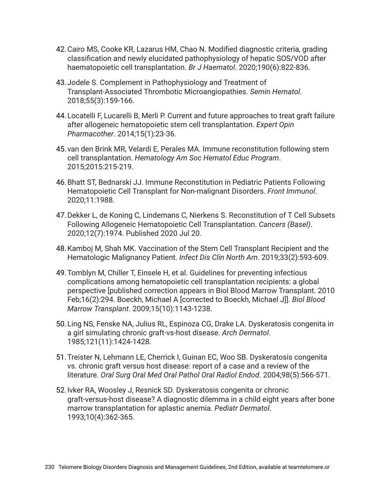- 42.Cairo MS, Cooke KR, Lazarus HM, Chao N. Modified diagnostic criteria, grading classification and newly elucidated pathophysiology of hepatic SOS/VOD after haematopoietic cell transplantation. *Br J Haematol*. 2020;190(6):822-836.
- 43.Jodele S. Complement in Pathophysiology and Treatment of Transplant-Associated Thrombotic Microangiopathies. *Semin Hematol*. 2018;55(3):159-166.
- 44.Locatelli F, Lucarelli B, Merli P. Current and future approaches to treat graft failure after allogeneic hematopoietic stem cell transplantation. *Expert Opin Pharmacother*. 2014;15(1):23-36.
- 45.van den Brink MR, Velardi E, Perales MA. Immune reconstitution following stem cell transplantation. *Hematology Am Soc Hematol Educ Program*. 2015;2015:215-219.
- 46.Bhatt ST, Bednarski JJ. Immune Reconstitution in Pediatric Patients Following Hematopoietic Cell Transplant for Non-malignant Disorders. *Front Immunol*. 2020;11:1988.
- 47.Dekker L, de Koning C, Lindemans C, Nierkens S. Reconstitution of T Cell Subsets Following Allogeneic Hematopoietic Cell Transplantation. *Cancers (Basel)*. 2020;12(7):1974. Published 2020 Jul 20.
- 48.Kamboj M, Shah MK. Vaccination of the Stem Cell Transplant Recipient and the Hematologic Malignancy Patient. *Infect Dis Clin North Am*. 2019;33(2):593-609.
- 49.Tomblyn M, Chiller T, Einsele H, et al. Guidelines for preventing infectious complications among hematopoietic cell transplantation recipients: a global perspective [published correction appears in Biol Blood Marrow Transplant. 2010 Feb;16(2):294. Boeckh, Michael A [corrected to Boeckh, Michael J]]. *Biol Blood Marrow Transplant*. 2009;15(10):1143-1238.
- 50.Ling NS, Fenske NA, Julius RL, Espinoza CG, Drake LA. Dyskeratosis congenita in a girl simulating chronic graft-vs-host disease. *Arch Dermatol*. 1985;121(11):1424-1428.
- 51.Treister N, Lehmann LE, Cherrick I, Guinan EC, Woo SB. Dyskeratosis congenita vs. chronic graft versus host disease: report of a case and a review of the literature. *Oral Surg Oral Med Oral Pathol Oral Radiol Endod*. 2004;98(5):566-571.
- 52.Ivker RA, Woosley J, Resnick SD. Dyskeratosis congenita or chronic graft-versus-host disease? A diagnostic dilemma in a child eight years after bone marrow transplantation for aplastic anemia. *Pediatr Dermatol*. 1993;10(4):362-365.